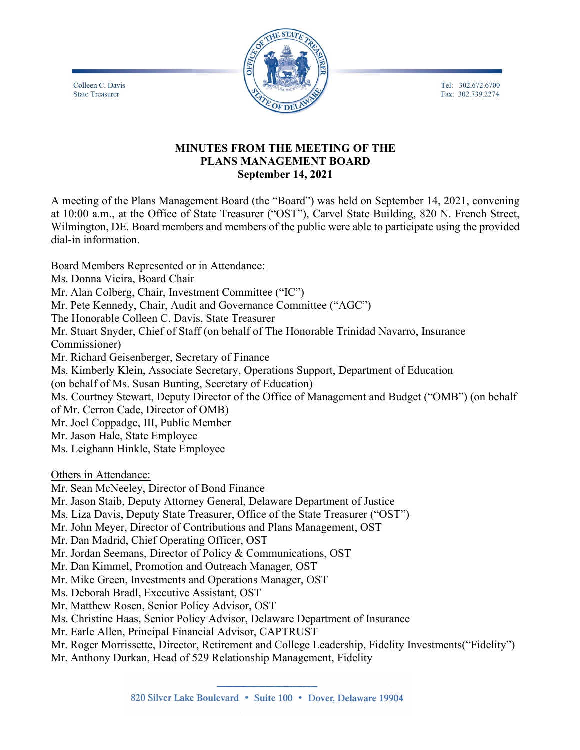Tel: 302.672.6700 Fax: 302.739.2274



# **MINUTES FROM THE MEETING OF THE PLANS MANAGEMENT BOARD September 14, 2021**

A meeting of the Plans Management Board (the "Board") was held on September 14, 2021, convening at 10:00 a.m., at the Office of State Treasurer ("OST"), Carvel State Building, 820 N. French Street, Wilmington, DE. Board members and members of the public were able to participate using the provided dial-in information.

Board Members Represented or in Attendance: Ms. Donna Vieira, Board Chair Mr. Alan Colberg, Chair, Investment Committee ("IC") Mr. Pete Kennedy, Chair, Audit and Governance Committee ("AGC") The Honorable Colleen C. Davis, State Treasurer Mr. Stuart Snyder, Chief of Staff (on behalf of The Honorable Trinidad Navarro, Insurance Commissioner) Mr. Richard Geisenberger, Secretary of Finance Ms. Kimberly Klein, Associate Secretary, Operations Support, Department of Education (on behalf of Ms. Susan Bunting, Secretary of Education) Ms. Courtney Stewart, Deputy Director of the Office of Management and Budget ("OMB") (on behalf of Mr. Cerron Cade, Director of OMB) Mr. Joel Coppadge, III, Public Member Mr. Jason Hale, State Employee Ms. Leighann Hinkle, State Employee

Others in Attendance:

Colleen C. Davis

**State Treasurer** 

Mr. Sean McNeeley, Director of Bond Finance

Mr. Jason Staib, Deputy Attorney General, Delaware Department of Justice

Ms. Liza Davis, Deputy State Treasurer, Office of the State Treasurer ("OST")

Mr. John Meyer, Director of Contributions and Plans Management, OST

Mr. Dan Madrid, Chief Operating Officer, OST

Mr. Jordan Seemans, Director of Policy & Communications, OST

Mr. Dan Kimmel, Promotion and Outreach Manager, OST

Mr. Mike Green, Investments and Operations Manager, OST

Ms. Deborah Bradl, Executive Assistant, OST

Mr. Matthew Rosen, Senior Policy Advisor, OST

Ms. Christine Haas, Senior Policy Advisor, Delaware Department of Insurance

Mr. Earle Allen, Principal Financial Advisor, CAPTRUST

Mr. Roger Morrissette, Director, Retirement and College Leadership, Fidelity Investments("Fidelity")

Mr. Anthony Durkan, Head of 529 Relationship Management, Fidelity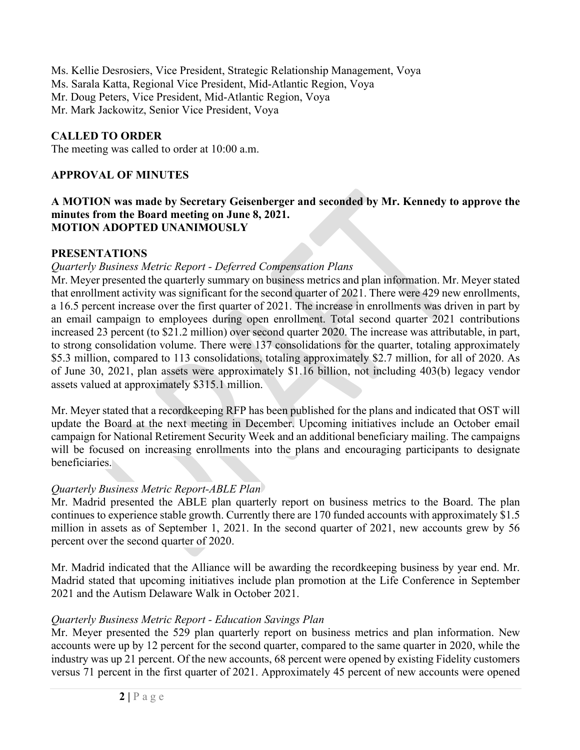Ms. Kellie Desrosiers, Vice President, Strategic Relationship Management, Voya Ms. Sarala Katta, Regional Vice President, Mid-Atlantic Region, Voya Mr. Doug Peters, Vice President, Mid-Atlantic Region, Voya Mr. Mark Jackowitz, Senior Vice President, Voya

# **CALLED TO ORDER**

The meeting was called to order at 10:00 a.m.

# **APPROVAL OF MINUTES**

#### **A MOTION was made by Secretary Geisenberger and seconded by Mr. Kennedy to approve the minutes from the Board meeting on June 8, 2021. MOTION ADOPTED UNANIMOUSLY**

# **PRESENTATIONS**

# *Quarterly Business Metric Report - Deferred Compensation Plans*

Mr. Meyer presented the quarterly summary on business metrics and plan information. Mr. Meyer stated that enrollment activity was significant for the second quarter of 2021. There were 429 new enrollments, a 16.5 percent increase over the first quarter of 2021. The increase in enrollments was driven in part by an email campaign to employees during open enrollment. Total second quarter 2021 contributions increased 23 percent (to \$21.2 million) over second quarter 2020. The increase was attributable, in part, to strong consolidation volume. There were 137 consolidations for the quarter, totaling approximately \$5.3 million, compared to 113 consolidations, totaling approximately \$2.7 million, for all of 2020. As of June 30, 2021, plan assets were approximately \$1.16 billion, not including 403(b) legacy vendor assets valued at approximately \$315.1 million.

Mr. Meyer stated that a recordkeeping RFP has been published for the plans and indicated that OST will update the Board at the next meeting in December. Upcoming initiatives include an October email campaign for National Retirement Security Week and an additional beneficiary mailing. The campaigns will be focused on increasing enrollments into the plans and encouraging participants to designate beneficiaries.

### *Quarterly Business Metric Report-ABLE Plan*

Mr. Madrid presented the ABLE plan quarterly report on business metrics to the Board. The plan continues to experience stable growth. Currently there are 170 funded accounts with approximately \$1.5 million in assets as of September 1, 2021. In the second quarter of 2021, new accounts grew by 56 percent over the second quarter of 2020.

Mr. Madrid indicated that the Alliance will be awarding the recordkeeping business by year end. Mr. Madrid stated that upcoming initiatives include plan promotion at the Life Conference in September 2021 and the Autism Delaware Walk in October 2021.

# *Quarterly Business Metric Report - Education Savings Plan*

Mr. Meyer presented the 529 plan quarterly report on business metrics and plan information. New accounts were up by 12 percent for the second quarter, compared to the same quarter in 2020, while the industry was up 21 percent. Of the new accounts, 68 percent were opened by existing Fidelity customers versus 71 percent in the first quarter of 2021. Approximately 45 percent of new accounts were opened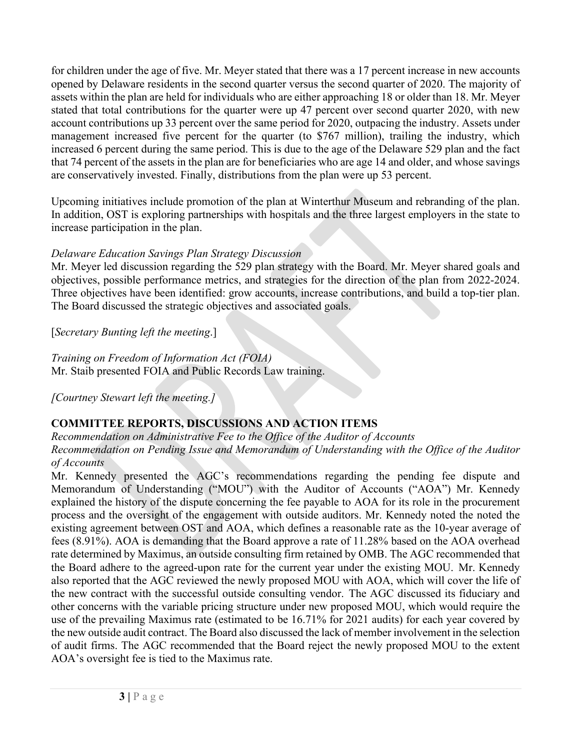for children under the age of five. Mr. Meyer stated that there was a 17 percent increase in new accounts opened by Delaware residents in the second quarter versus the second quarter of 2020. The majority of assets within the plan are held for individuals who are either approaching 18 or older than 18. Mr. Meyer stated that total contributions for the quarter were up 47 percent over second quarter 2020, with new account contributions up 33 percent over the same period for 2020, outpacing the industry. Assets under management increased five percent for the quarter (to \$767 million), trailing the industry, which increased 6 percent during the same period. This is due to the age of the Delaware 529 plan and the fact that 74 percent of the assets in the plan are for beneficiaries who are age 14 and older, and whose savings are conservatively invested. Finally, distributions from the plan were up 53 percent.

Upcoming initiatives include promotion of the plan at Winterthur Museum and rebranding of the plan. In addition, OST is exploring partnerships with hospitals and the three largest employers in the state to increase participation in the plan.

# *Delaware Education Savings Plan Strategy Discussion*

Mr. Meyer led discussion regarding the 529 plan strategy with the Board. Mr. Meyer shared goals and objectives, possible performance metrics, and strategies for the direction of the plan from 2022-2024. Three objectives have been identified: grow accounts, increase contributions, and build a top-tier plan. The Board discussed the strategic objectives and associated goals.

[*Secretary Bunting left the meeting*.]

*Training on Freedom of Information Act (FOIA)* Mr. Staib presented FOIA and Public Records Law training.

*[Courtney Stewart left the meeting.]*

# **COMMITTEE REPORTS, DISCUSSIONS AND ACTION ITEMS**

*Recommendation on Administrative Fee to the Office of the Auditor of Accounts Recommendation on Pending Issue and Memorandum of Understanding with the Office of the Auditor of Accounts*

Mr. Kennedy presented the AGC's recommendations regarding the pending fee dispute and Memorandum of Understanding ("MOU") with the Auditor of Accounts ("AOA") Mr. Kennedy explained the history of the dispute concerning the fee payable to AOA for its role in the procurement process and the oversight of the engagement with outside auditors. Mr. Kennedy noted the noted the existing agreement between OST and AOA, which defines a reasonable rate as the 10-year average of fees (8.91%). AOA is demanding that the Board approve a rate of 11.28% based on the AOA overhead rate determined by Maximus, an outside consulting firm retained by OMB. The AGC recommended that the Board adhere to the agreed-upon rate for the current year under the existing MOU. Mr. Kennedy also reported that the AGC reviewed the newly proposed MOU with AOA, which will cover the life of the new contract with the successful outside consulting vendor. The AGC discussed its fiduciary and other concerns with the variable pricing structure under new proposed MOU, which would require the use of the prevailing Maximus rate (estimated to be 16.71% for 2021 audits) for each year covered by the new outside audit contract. The Board also discussed the lack of member involvement in the selection of audit firms. The AGC recommended that the Board reject the newly proposed MOU to the extent AOA's oversight fee is tied to the Maximus rate.